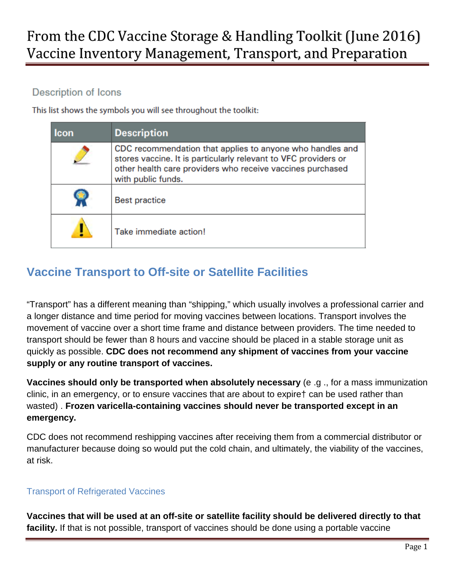## **Description of Icons**

This list shows the symbols you will see throughout the toolkit:

| <b>Icon</b> | <b>Description</b>                                                                                                                                                                                               |
|-------------|------------------------------------------------------------------------------------------------------------------------------------------------------------------------------------------------------------------|
|             | CDC recommendation that applies to anyone who handles and<br>stores vaccine. It is particularly relevant to VFC providers or<br>other health care providers who receive vaccines purchased<br>with public funds. |
|             | <b>Best practice</b>                                                                                                                                                                                             |
|             | Take immediate action!                                                                                                                                                                                           |

## **Vaccine Transport to Off-site or Satellite Facilities**

"Transport" has a different meaning than "shipping," which usually involves a professional carrier and a longer distance and time period for moving vaccines between locations. Transport involves the movement of vaccine over a short time frame and distance between providers. The time needed to transport should be fewer than 8 hours and vaccine should be placed in a stable storage unit as quickly as possible. **CDC does not recommend any shipment of vaccines from your vaccine supply or any routine transport of vaccines.**

**Vaccines should only be transported when absolutely necessary** (e .g ., for a mass immunization clinic, in an emergency, or to ensure vaccines that are about to expire† can be used rather than wasted) . **Frozen varicella-containing vaccines should never be transported except in an emergency.**

CDC does not recommend reshipping vaccines after receiving them from a commercial distributor or manufacturer because doing so would put the cold chain, and ultimately, the viability of the vaccines, at risk.

## Transport of Refrigerated Vaccines

**Vaccines that will be used at an off-site or satellite facility should be delivered directly to that facility.** If that is not possible, transport of vaccines should be done using a portable vaccine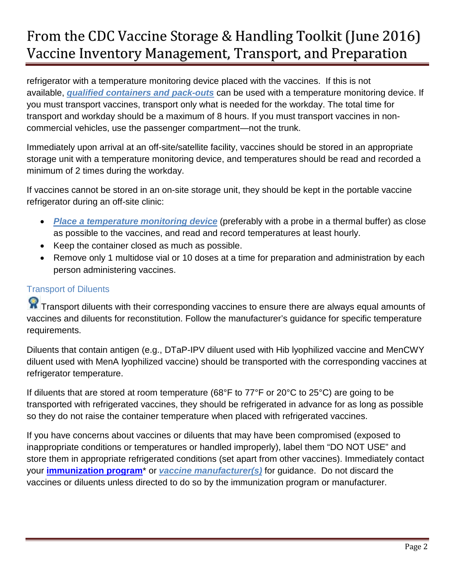refrigerator with a temperature monitoring device placed with the vaccines. If this is not available, *qualified containers and pack-outs* can be used with a temperature monitoring device. If you must transport vaccines, transport only what is needed for the workday. The total time for transport and workday should be a maximum of 8 hours. If you must transport vaccines in noncommercial vehicles, use the passenger compartment—not the trunk.

Immediately upon arrival at an off-site/satellite facility, vaccines should be stored in an appropriate storage unit with a temperature monitoring device, and temperatures should be read and recorded a minimum of 2 times during the workday.

If vaccines cannot be stored in an on-site storage unit, they should be kept in the portable vaccine refrigerator during an off-site clinic:

- *Place a temperature monitoring device* (preferably with a probe in a thermal buffer) as close as possible to the vaccines, and read and record temperatures at least hourly.
- Keep the container closed as much as possible.
- Remove only 1 multidose vial or 10 doses at a time for preparation and administration by each person administering vaccines.

## Transport of Diluents

**R** Transport diluents with their corresponding vaccines to ensure there are always equal amounts of vaccines and diluents for reconstitution. Follow the manufacturer's guidance for specific temperature requirements.

Diluents that contain antigen (e.g., DTaP-IPV diluent used with Hib lyophilized vaccine and MenCWY diluent used with MenA lyophilized vaccine) should be transported with the corresponding vaccines at refrigerator temperature.

If diluents that are stored at room temperature (68°F to 77°F or 20°C to 25°C) are going to be transported with refrigerated vaccines, they should be refrigerated in advance for as long as possible so they do not raise the container temperature when placed with refrigerated vaccines.

If you have concerns about vaccines or diluents that may have been compromised (exposed to inappropriate conditions or temperatures or handled improperly), label them "DO NOT USE" and store them in appropriate refrigerated conditions (set apart from other vaccines). Immediately contact your **[immunization program](http://www.cdc.gov/vaccines/imz-managers/awardee-imz-websites.html)**\* or *vaccine manufacturer(s)* for guidance. Do not discard the vaccines or diluents unless directed to do so by the immunization program or manufacturer.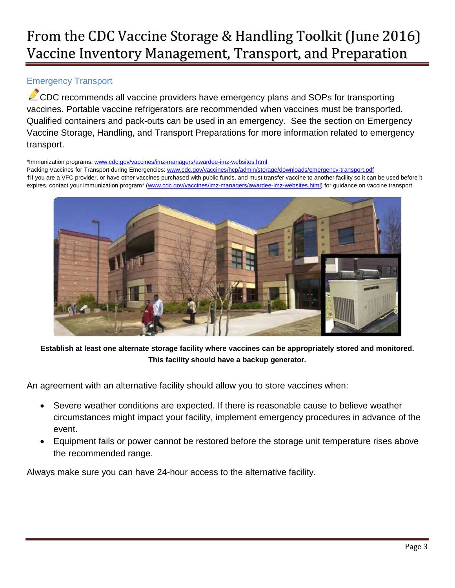## Emergency Transport

CDC recommends all vaccine providers have emergency plans and SOPs for transporting vaccines. Portable vaccine refrigerators are recommended when vaccines must be transported. Qualified containers and pack-outs can be used in an emergency. See the section on Emergency Vaccine Storage, Handling, and Transport Preparations for more information related to emergency transport.

\*Immunization programs: [www.cdc.gov/vaccines/imz-managers/awardee-imz-websites.html](http://www.cdc.gov/vaccines/imz-managers/awardee-imz-websites.html) Packing Vaccines for Transport during Emergencies: [www.cdc.gov/vaccines/hcp/admin/storage/downloads/emergency-transport.pdf](http://www.cdc.gov/vaccines/hcp/admin/storage/downloads/emergency-transport.pdf) †If you are a VFC provider, or have other vaccines purchased with public funds, and must transfer vaccine to another facility so it can be used before it expires, contact your immunization program\* [\(www.cdc.gov/vaccines/imz-managers/awardee-imz-websites.html\)](http://www.cdc.gov/vaccines/imz-managers/awardee-imz-websites.html) for guidance on vaccine transport.



**Establish at least one alternate storage facility where vaccines can be appropriately stored and monitored. This facility should have a backup generator.**

An agreement with an alternative facility should allow you to store vaccines when:

- Severe weather conditions are expected. If there is reasonable cause to believe weather circumstances might impact your facility, implement emergency procedures in advance of the event.
- Equipment fails or power cannot be restored before the storage unit temperature rises above the recommended range.

Always make sure you can have 24-hour access to the alternative facility.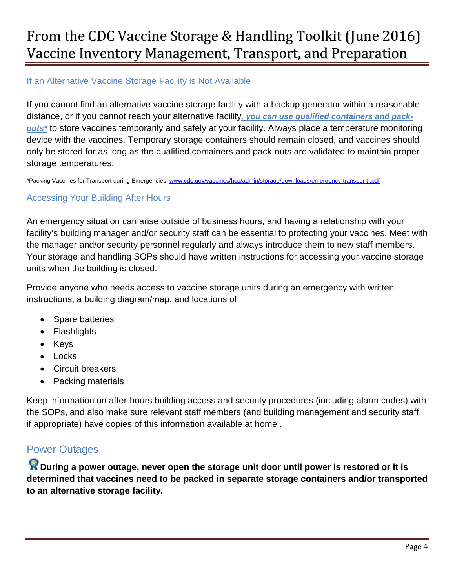### If an Alternative Vaccine Storage Facility is Not Available

If you cannot find an alternative vaccine storage facility with a backup generator within a reasonable distance, or if you cannot reach your alternative facility*, you can use qualified containers and packouts\** to store vaccines temporarily and safely at your facility. Always place a temperature monitoring device with the vaccines. Temporary storage containers should remain closed, and vaccines should only be stored for as long as the qualified containers and pack-outs are validated to maintain proper storage temperatures.

\*Packing Vaccines for Transport during Emergencies: [www.cdc.gov/vaccines/hcp/admin/storage/downloads/emergency-transpor t .pdf](http://www.cdc.gov/vaccines/hcp/admin/storage/downloads/emergency-transpor%20t%20.pdf)

### Accessing Your Building After Hours

An emergency situation can arise outside of business hours, and having a relationship with your facility's building manager and/or security staff can be essential to protecting your vaccines. Meet with the manager and/or security personnel regularly and always introduce them to new staff members. Your storage and handling SOPs should have written instructions for accessing your vaccine storage units when the building is closed.

Provide anyone who needs access to vaccine storage units during an emergency with written instructions, a building diagram/map, and locations of:

- Spare batteries
- Flashlights
- Keys
- Locks
- Circuit breakers
- Packing materials

Keep information on after-hours building access and security procedures (including alarm codes) with the SOPs, and also make sure relevant staff members (and building management and security staff, if appropriate) have copies of this information available at home .

## Power Outages

**R** During a power outage, never open the storage unit door until power is restored or it is **determined that vaccines need to be packed in separate storage containers and/or transported to an alternative storage facility.**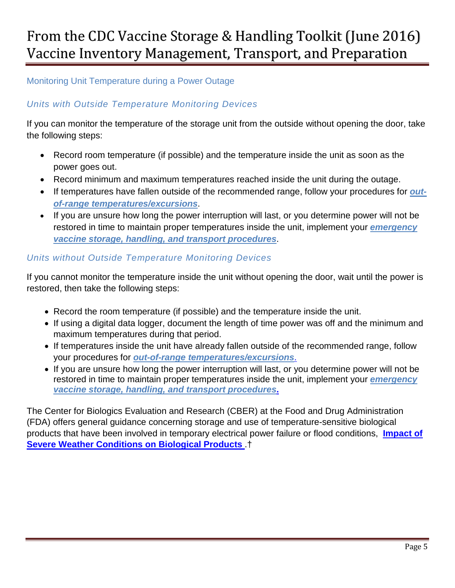## Monitoring Unit Temperature during a Power Outage

## *Units with Outside Temperature Monitoring Devices*

If you can monitor the temperature of the storage unit from the outside without opening the door, take the following steps:

- Record room temperature (if possible) and the temperature inside the unit as soon as the power goes out.
- Record minimum and maximum temperatures reached inside the unit during the outage.
- If temperatures have fallen outside of the recommended range, follow your procedures for *outof-range temperatures/excursions*.
- If you are unsure how long the power interruption will last, or you determine power will not be restored in time to maintain proper temperatures inside the unit, implement your *emergency vaccine storage, handling, and transport procedures*.

### *Units without Outside Temperature Monitoring Devices*

If you cannot monitor the temperature inside the unit without opening the door, wait until the power is restored, then take the following steps:

- Record the room temperature (if possible) and the temperature inside the unit.
- If using a digital data logger, document the length of time power was off and the minimum and maximum temperatures during that period.
- If temperatures inside the unit have already fallen outside of the recommended range, follow your procedures for *out-of-range temperatures/excursions*.
- If you are unsure how long the power interruption will last, or you determine power will not be restored in time to maintain proper temperatures inside the unit, implement your *emergency vaccine storage, handling, and transport procedures***.**

The Center for Biologics Evaluation and Research (CBER) at the Food and Drug Administration (FDA) offers general guidance concerning storage and use of temperature-sensitive biological products that have been involved in temporary electrical power failure or flood conditions, **[Impact of](http://www.fda.gov/BiologicsBloodVaccines/SafetyAvailability/ProductSecurity/ucm147243.htm)  [Severe Weather Conditions on Biological Products](http://www.fda.gov/BiologicsBloodVaccines/SafetyAvailability/ProductSecurity/ucm147243.htm)** .†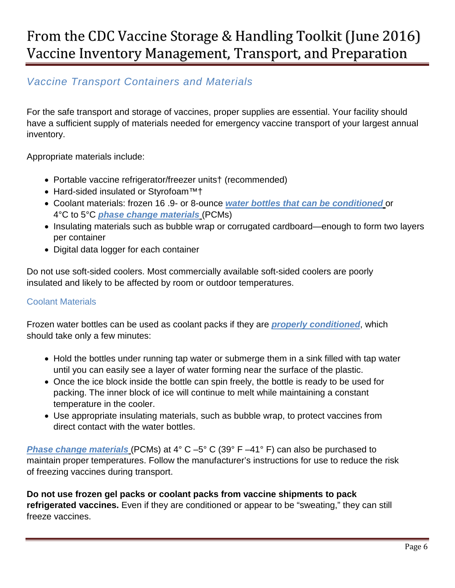## *Vaccine Transport Containers and Materials*

For the safe transport and storage of vaccines, proper supplies are essential. Your facility should have a sufficient supply of materials needed for emergency vaccine transport of your largest annual inventory.

Appropriate materials include:

- Portable vaccine refrigerator/freezer units† (recommended)
- Hard-sided insulated or Styrofoam™†
- Coolant materials: frozen 16 .9- or 8-ounce *water bottles that can be conditioned* or 4°C to 5°C *phase change materials* (PCMs)
- Insulating materials such as bubble wrap or corrugated cardboard—enough to form two layers per container
- Digital data logger for each container

Do not use soft-sided coolers. Most commercially available soft-sided coolers are poorly insulated and likely to be affected by room or outdoor temperatures.

### Coolant Materials

Frozen water bottles can be used as coolant packs if they are *properly conditioned*, which should take only a few minutes:

- Hold the bottles under running tap water or submerge them in a sink filled with tap water until you can easily see a layer of water forming near the surface of the plastic.
- Once the ice block inside the bottle can spin freely, the bottle is ready to be used for packing. The inner block of ice will continue to melt while maintaining a constant temperature in the cooler.
- Use appropriate insulating materials, such as bubble wrap, to protect vaccines from direct contact with the water bottles.

*Phase change materials* (PCMs) at 4° C –5° C (39° F –41° F) can also be purchased to maintain proper temperatures. Follow the manufacturer's instructions for use to reduce the risk of freezing vaccines during transport.

**Do not use frozen gel packs or coolant packs from vaccine shipments to pack refrigerated vaccines.** Even if they are conditioned or appear to be "sweating," they can still freeze vaccines.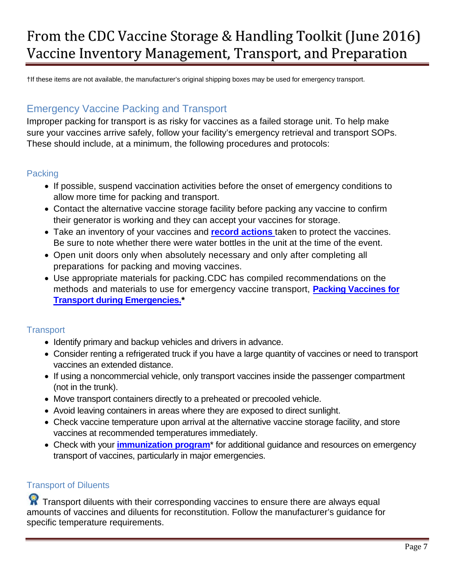†If these items are not available, the manufacturer's original shipping boxes may be used for emergency transport.

## Emergency Vaccine Packing and Transport

Improper packing for transport is as risky for vaccines as a failed storage unit. To help make sure your vaccines arrive safely, follow your facility's emergency retrieval and transport SOPs. These should include, at a minimum, the following procedures and protocols:

### **Packing**

- If possible, suspend vaccination activities before the onset of emergency conditions to allow more time for packing and transport.
- Contact the alternative vaccine storage facility before packing any vaccine to confirm their generator is working and they can accept your vaccines for storage.
- Take an inventory of your vaccines and **[record actions](http://www.immunize.org/catg.d/p3041.pdf)** taken to protect the vaccines. Be sure to note whether there were water bottles in the unit at the time of the event.
- Open unit doors only when absolutely necessary and only after completing all preparations for packing and moving vaccines.
- Use appropriate materials for packing. CDC has compiled recommendations on the methods and materials to use for emergency vaccine transport, **[Packing Vaccines for](http://www.cdc.gov/vaccines/hcp/admin/storage/downloads/emergency-transport.pdf)  [Transport during Emergencies.](http://www.cdc.gov/vaccines/hcp/admin/storage/downloads/emergency-transport.pdf)\***

### **Transport**

- Identify primary and backup vehicles and drivers in advance.
- Consider renting a refrigerated truck if you have a large quantity of vaccines or need to transport vaccines an extended distance.
- If using a noncommercial vehicle, only transport vaccines inside the passenger compartment (not in the trunk).
- Move transport containers directly to a preheated or precooled vehicle.
- Avoid leaving containers in areas where they are exposed to direct sunlight.
- Check vaccine temperature upon arrival at the alternative vaccine storage facility, and store vaccines at recommended temperatures immediately.
- Check with your **[immunization program](http://www.cdc.gov/vaccines/imz-managers/awardee-imz-websites.html)**\* for additional guidance and resources on emergency transport of vaccines, particularly in major emergencies.

### Transport of Diluents

**X** Transport diluents with their corresponding vaccines to ensure there are always equal amounts of vaccines and diluents for reconstitution. Follow the manufacturer's guidance for specific temperature requirements.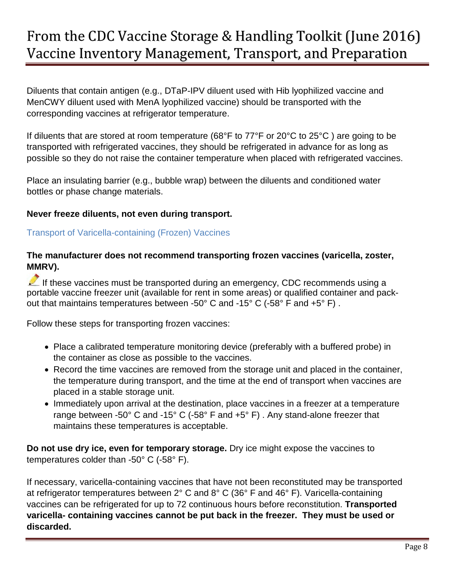Diluents that contain antigen (e.g., DTaP-IPV diluent used with Hib lyophilized vaccine and MenCWY diluent used with MenA lyophilized vaccine) should be transported with the corresponding vaccines at refrigerator temperature.

If diluents that are stored at room temperature (68°F to 77°F or 20°C to 25°C ) are going to be transported with refrigerated vaccines, they should be refrigerated in advance for as long as possible so they do not raise the container temperature when placed with refrigerated vaccines.

Place an insulating barrier (e.g., bubble wrap) between the diluents and conditioned water bottles or phase change materials.

### **Never freeze diluents, not even during transport.**

### Transport of Varicella-containing (Frozen) Vaccines

### **The manufacturer does not recommend transporting frozen vaccines (varicella, zoster, MMRV).**

If these vaccines must be transported during an emergency, CDC recommends using a portable vaccine freezer unit (available for rent in some areas) or qualified container and packout that maintains temperatures between -50° C and -15° C (-58° F and +5° F) .

Follow these steps for transporting frozen vaccines:

- Place a calibrated temperature monitoring device (preferably with a buffered probe) in the container as close as possible to the vaccines.
- Record the time vaccines are removed from the storage unit and placed in the container, the temperature during transport, and the time at the end of transport when vaccines are placed in a stable storage unit.
- Immediately upon arrival at the destination, place vaccines in a freezer at a temperature range between -50° C and -15° C (-58° F and +5° F) . Any stand-alone freezer that maintains these temperatures is acceptable.

**Do not use dry ice, even for temporary storage.** Dry ice might expose the vaccines to temperatures colder than -50° C (-58° F).

If necessary, varicella-containing vaccines that have not been reconstituted may be transported at refrigerator temperatures between 2° C and 8° C (36° F and 46° F). Varicella-containing vaccines can be refrigerated for up to 72 continuous hours before reconstitution. **Transported varicella- containing vaccines cannot be put back in the freezer. They must be used or discarded.**